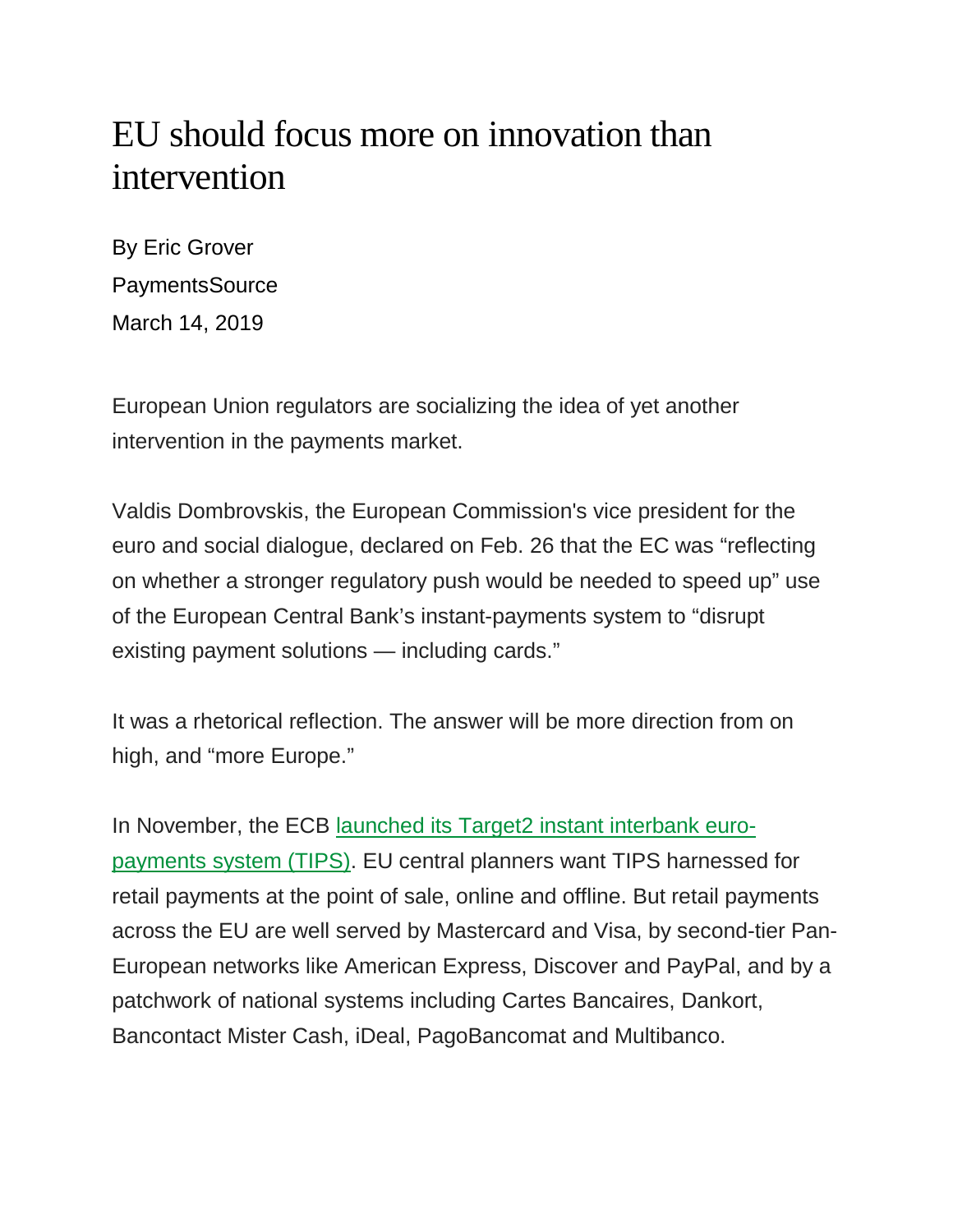## EU should focus more on innovation than intervention

By Eric Grover PaymentsSource March 14, 2019

European Union regulators are socializing the idea of yet another intervention in the payments market.

Valdis Dombrovskis, the European Commission's vice president for the euro and social dialogue, declared on Feb. 26 that the EC was "reflecting on whether a stronger regulatory push would be needed to speed up" use of the European Central Bank's instant-payments system to "disrupt existing payment solutions — including cards."

It was a rhetorical reflection. The answer will be more direction from on high, and "more Europe."

In November, the ECB [launched its Target2 instant interbank euro](https://www.ecb.europa.eu/paym/target/tips/html/index.en.html)[payments system \(TIPS\).](https://www.ecb.europa.eu/paym/target/tips/html/index.en.html) EU central planners want TIPS harnessed for retail payments at the point of sale, online and offline. But retail payments across the EU are well served by Mastercard and Visa, by second-tier Pan-European networks like American Express, Discover and PayPal, and by a patchwork of national systems including Cartes Bancaires, Dankort, Bancontact Mister Cash, iDeal, PagoBancomat and Multibanco.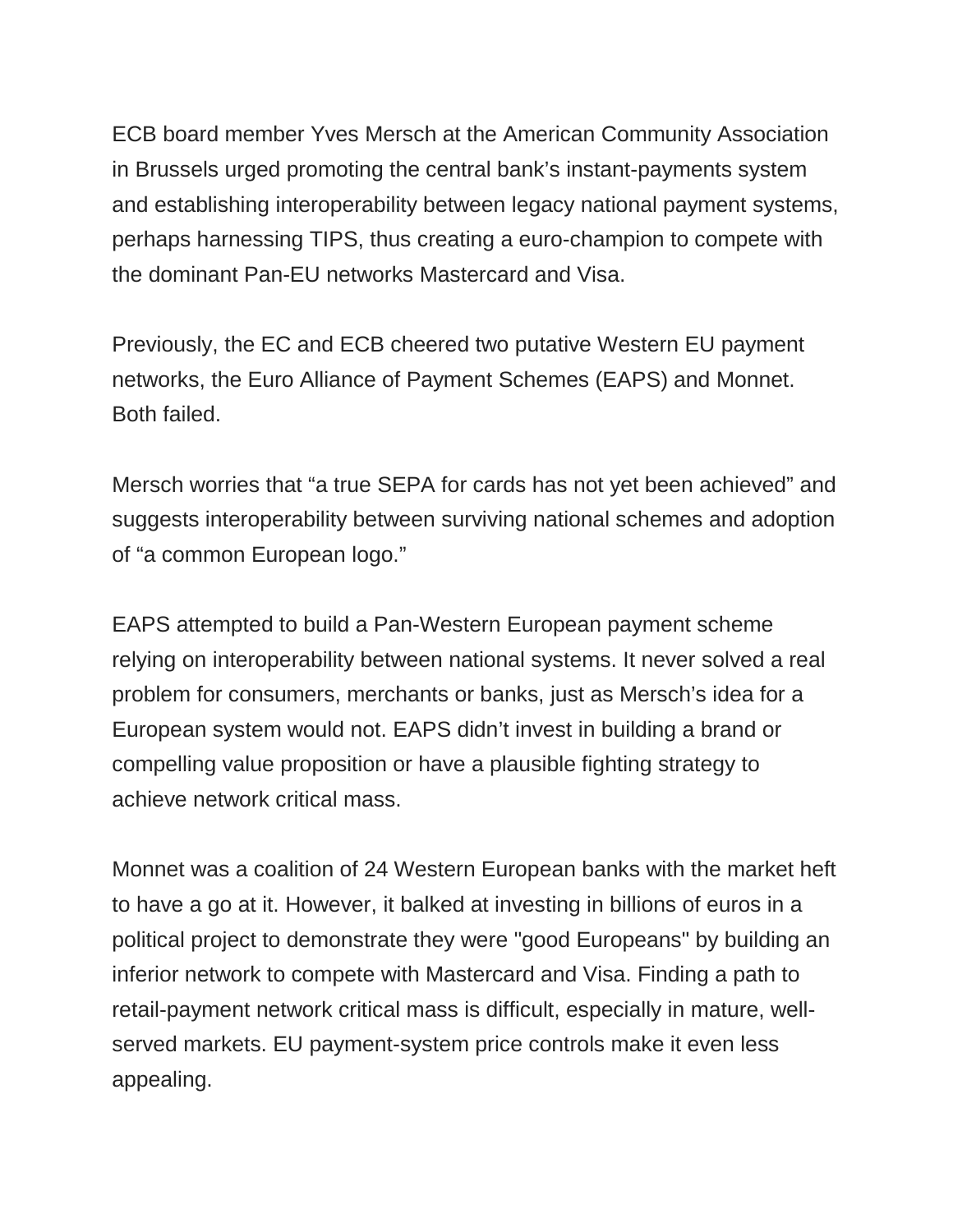ECB board member Yves Mersch at the American Community Association in Brussels urged promoting the central bank's instant-payments system and establishing interoperability between legacy national payment systems, perhaps harnessing TIPS, thus creating a euro-champion to compete with the dominant Pan-EU networks Mastercard and Visa.

Previously, the EC and ECB cheered two putative Western EU payment networks, the Euro Alliance of Payment Schemes (EAPS) and Monnet. Both failed.

Mersch worries that "a true SEPA for cards has not yet been achieved" and suggests interoperability between surviving national schemes and adoption of "a common European logo."

EAPS attempted to build a Pan-Western European payment scheme relying on interoperability between national systems. It never solved a real problem for consumers, merchants or banks, just as Mersch's idea for a European system would not. EAPS didn't invest in building a brand or compelling value proposition or have a plausible fighting strategy to achieve network critical mass.

Monnet was a coalition of 24 Western European banks with the market heft to have a go at it. However, it balked at investing in billions of euros in a political project to demonstrate they were "good Europeans" by building an inferior network to compete with Mastercard and Visa. Finding a path to retail-payment network critical mass is difficult, especially in mature, wellserved markets. EU payment-system price controls make it even less appealing.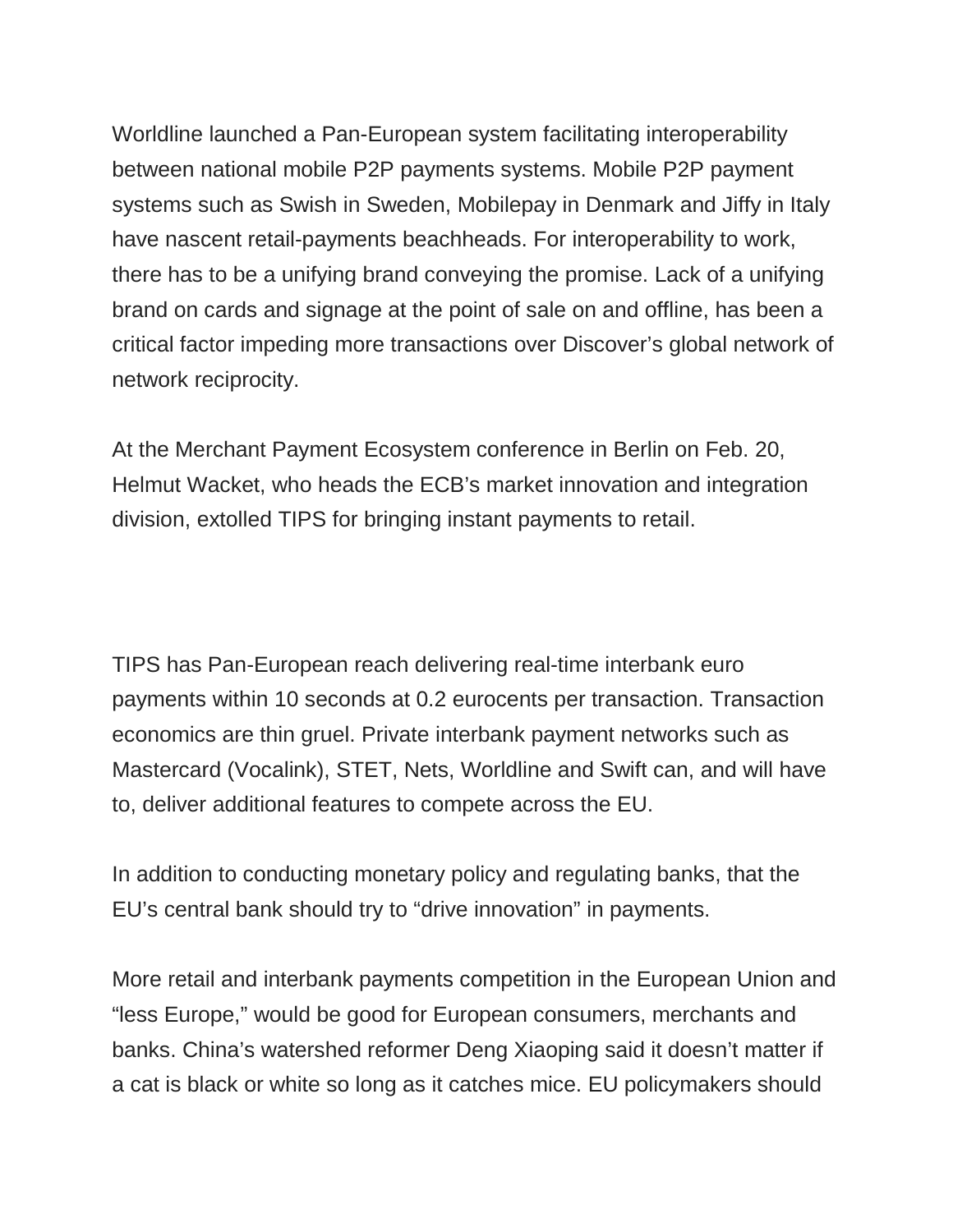Worldline launched a Pan-European system facilitating interoperability between national mobile P2P payments systems. Mobile P2P payment systems such as Swish in Sweden, Mobilepay in Denmark and Jiffy in Italy have nascent retail-payments beachheads. For interoperability to work, there has to be a unifying brand conveying the promise. Lack of a unifying brand on cards and signage at the point of sale on and offline, has been a critical factor impeding more transactions over Discover's global network of network reciprocity.

At the Merchant Payment Ecosystem conference in Berlin on Feb. 20, Helmut Wacket, who heads the ECB's market innovation and integration division, extolled TIPS for bringing instant payments to retail.

TIPS has Pan-European reach delivering real-time interbank euro payments within 10 seconds at 0.2 eurocents per transaction. Transaction economics are thin gruel. Private interbank payment networks such as Mastercard (Vocalink), STET, Nets, Worldline and Swift can, and will have to, deliver additional features to compete across the EU.

In addition to conducting monetary policy and regulating banks, that the EU's central bank should try to "drive innovation" in payments.

More retail and interbank payments competition in the European Union and "less Europe," would be good for European consumers, merchants and banks. China's watershed reformer Deng Xiaoping said it doesn't matter if a cat is black or white so long as it catches mice. EU policymakers should